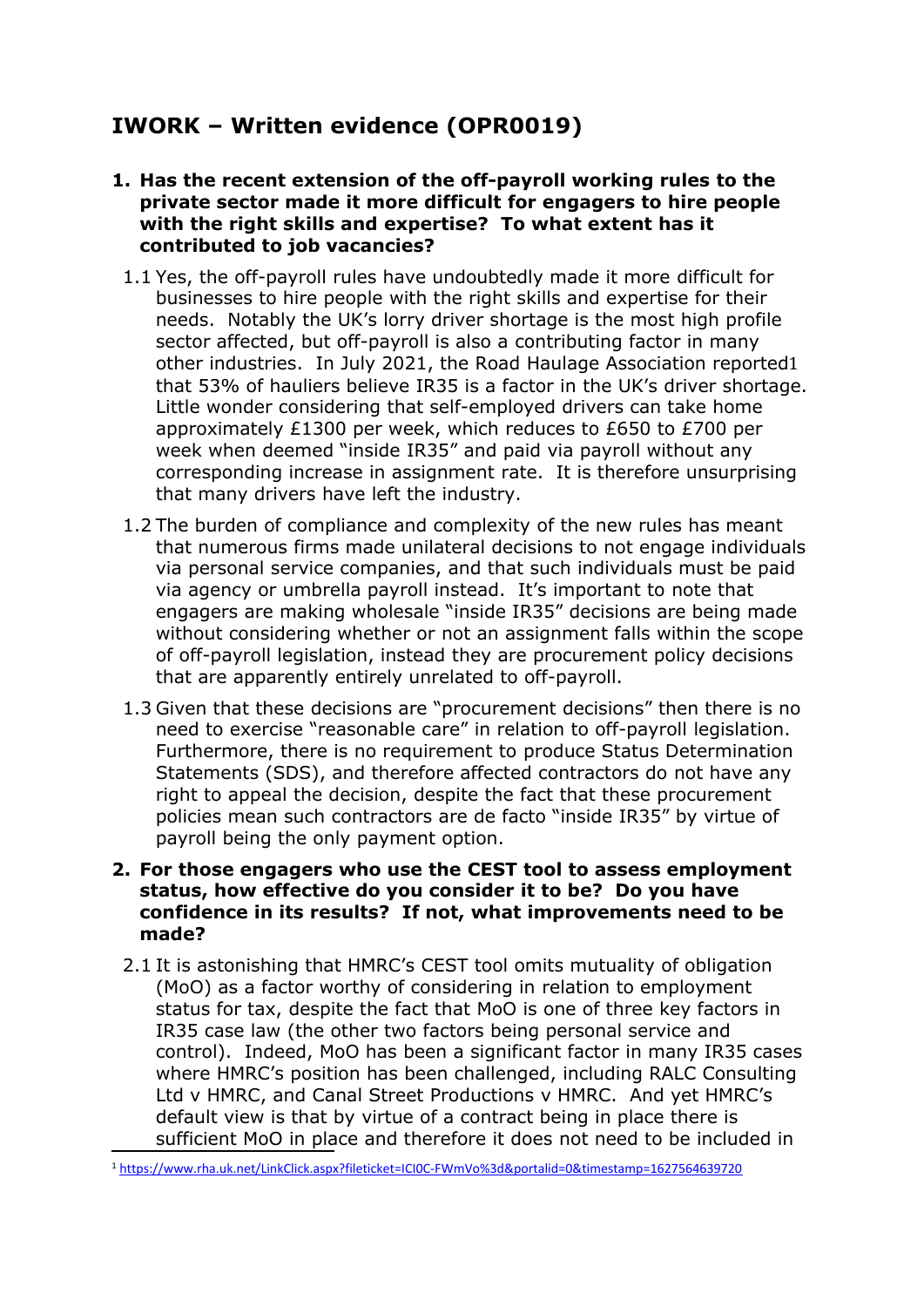# **IWORK – Written evidence (OPR0019)**

- **1. Has the recent extension of the off-payroll working rules to the private sector made it more difficult for engagers to hire people with the right skills and expertise? To what extent has it contributed to job vacancies?**
	- 1.1 Yes, the off-payroll rules have undoubtedly made it more difficult for businesses to hire people with the right skills and expertise for their needs. Notably the UK's lorry driver shortage is the most high profile sector affected, but off-payroll is also a contributing factor in many other industries. In July 2021, the Road Haulage Association reported1 that 53% of hauliers believe IR35 is a factor in the UK's driver shortage. Little wonder considering that self-employed drivers can take home approximately £1300 per week, which reduces to £650 to £700 per week when deemed "inside IR35" and paid via payroll without any corresponding increase in assignment rate. It is therefore unsurprising that many drivers have left the industry.
	- 1.2 The burden of compliance and complexity of the new rules has meant that numerous firms made unilateral decisions to not engage individuals via personal service companies, and that such individuals must be paid via agency or umbrella payroll instead. It's important to note that engagers are making wholesale "inside IR35" decisions are being made without considering whether or not an assignment falls within the scope of off-payroll legislation, instead they are procurement policy decisions that are apparently entirely unrelated to off-payroll.
	- 1.3 Given that these decisions are "procurement decisions" then there is no need to exercise "reasonable care" in relation to off-payroll legislation. Furthermore, there is no requirement to produce Status Determination Statements (SDS), and therefore affected contractors do not have any right to appeal the decision, despite the fact that these procurement policies mean such contractors are de facto "inside IR35" by virtue of payroll being the only payment option.

## **2. For those engagers who use the CEST tool to assess employment status, how effective do you consider it to be? Do you have confidence in its results? If not, what improvements need to be made?**

2.1 It is astonishing that HMRC's CEST tool omits mutuality of obligation (MoO) as a factor worthy of considering in relation to employment status for tax, despite the fact that MoO is one of three key factors in IR35 case law (the other two factors being personal service and control). Indeed, MoO has been a significant factor in many IR35 cases where HMRC's position has been challenged, including RALC Consulting Ltd v HMRC, and Canal Street Productions v HMRC. And yet HMRC's default view is that by virtue of a contract being in place there is sufficient MoO in place and therefore it does not need to be included in

<sup>1</sup> [https://www.rha.uk.net/LinkClick.aspx?fileticket=ICI0C-FWmVo%3d&portalid=0&timestamp=1627564639720](https://www.rha.uk.net/LinkClick.aspx?fileticket=ICI0C-FWmVo%3d&portalid=0×tamp=1627564639720)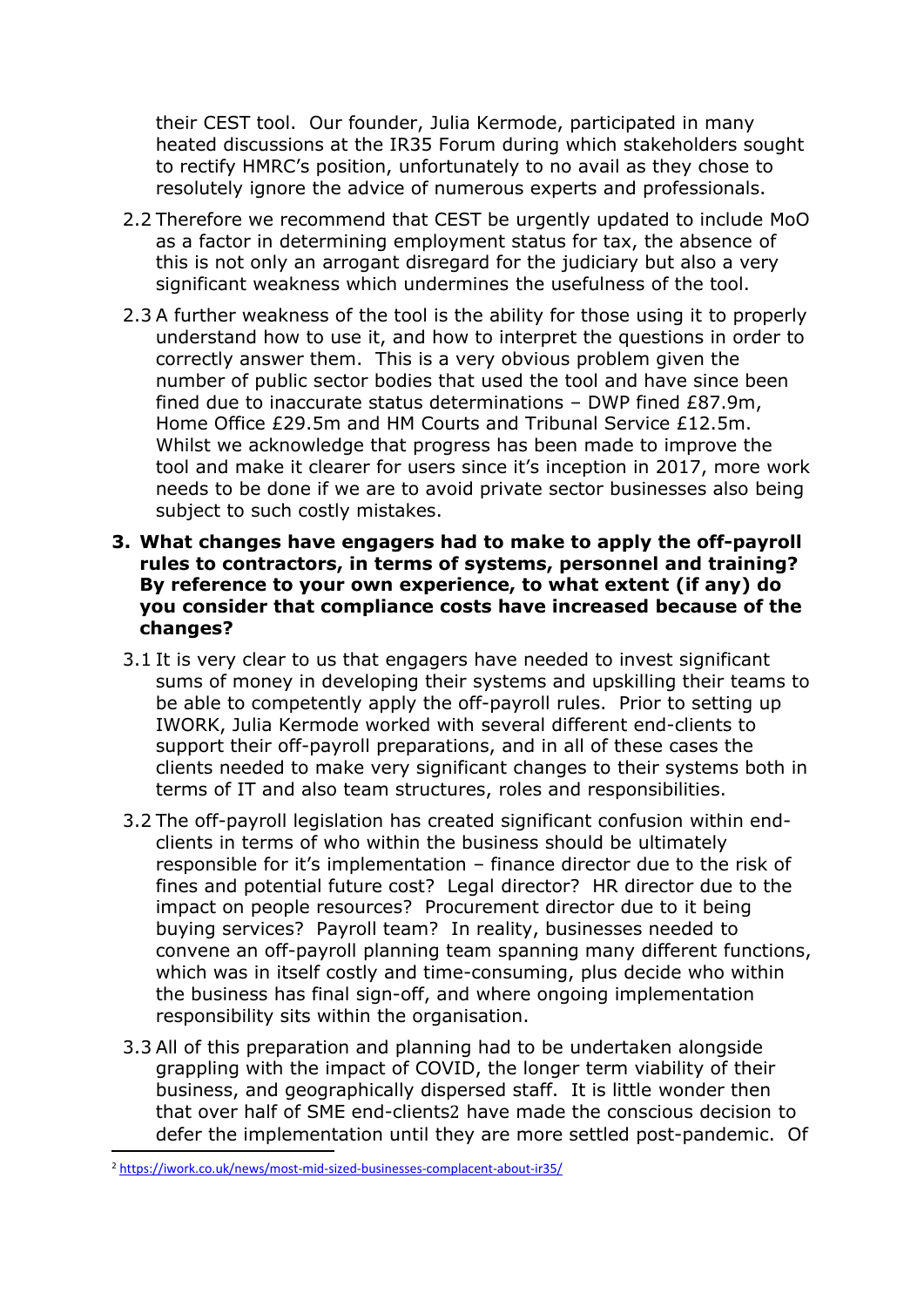their CEST tool. Our founder, Julia Kermode, participated in many heated discussions at the IR35 Forum during which stakeholders sought to rectify HMRC's position, unfortunately to no avail as they chose to resolutely ignore the advice of numerous experts and professionals.

- 2.2 Therefore we recommend that CEST be urgently updated to include MoO as a factor in determining employment status for tax, the absence of this is not only an arrogant disregard for the judiciary but also a very significant weakness which undermines the usefulness of the tool.
- 2.3 A further weakness of the tool is the ability for those using it to properly understand how to use it, and how to interpret the questions in order to correctly answer them. This is a very obvious problem given the number of public sector bodies that used the tool and have since been fined due to inaccurate status determinations – DWP fined £87.9m, Home Office £29.5m and HM Courts and Tribunal Service £12.5m. Whilst we acknowledge that progress has been made to improve the tool and make it clearer for users since it's inception in 2017, more work needs to be done if we are to avoid private sector businesses also being subject to such costly mistakes.
- **3. What changes have engagers had to make to apply the off-payroll rules to contractors, in terms of systems, personnel and training? By reference to your own experience, to what extent (if any) do you consider that compliance costs have increased because of the changes?**
	- 3.1 It is very clear to us that engagers have needed to invest significant sums of money in developing their systems and upskilling their teams to be able to competently apply the off-payroll rules. Prior to setting up IWORK, Julia Kermode worked with several different end-clients to support their off-payroll preparations, and in all of these cases the clients needed to make very significant changes to their systems both in terms of IT and also team structures, roles and responsibilities.
	- 3.2 The off-payroll legislation has created significant confusion within endclients in terms of who within the business should be ultimately responsible for it's implementation – finance director due to the risk of fines and potential future cost? Legal director? HR director due to the impact on people resources? Procurement director due to it being buying services? Payroll team? In reality, businesses needed to convene an off-payroll planning team spanning many different functions, which was in itself costly and time-consuming, plus decide who within the business has final sign-off, and where ongoing implementation responsibility sits within the organisation.
	- 3.3 All of this preparation and planning had to be undertaken alongside grappling with the impact of COVID, the longer term viability of their business, and geographically dispersed staff. It is little wonder then that over half of SME end-clients2 have made the conscious decision to defer the implementation until they are more settled post-pandemic. Of

<sup>2</sup> <https://iwork.co.uk/news/most-mid-sized-businesses-complacent-about-ir35/>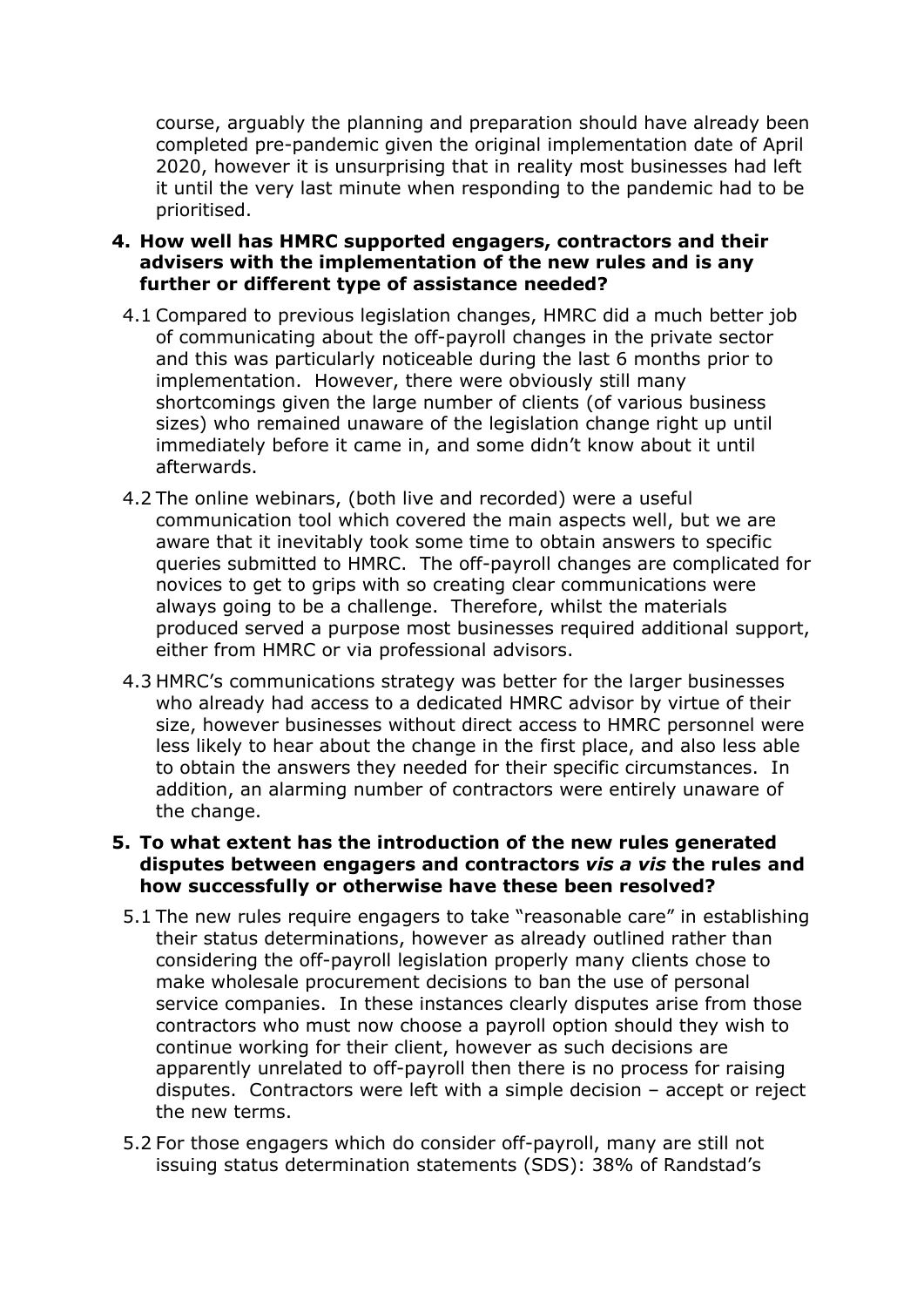course, arguably the planning and preparation should have already been completed pre-pandemic given the original implementation date of April 2020, however it is unsurprising that in reality most businesses had left it until the very last minute when responding to the pandemic had to be prioritised.

- **4. How well has HMRC supported engagers, contractors and their advisers with the implementation of the new rules and is any further or different type of assistance needed?**
	- 4.1 Compared to previous legislation changes, HMRC did a much better job of communicating about the off-payroll changes in the private sector and this was particularly noticeable during the last 6 months prior to implementation. However, there were obviously still many shortcomings given the large number of clients (of various business sizes) who remained unaware of the legislation change right up until immediately before it came in, and some didn't know about it until afterwards.
	- 4.2 The online webinars, (both live and recorded) were a useful communication tool which covered the main aspects well, but we are aware that it inevitably took some time to obtain answers to specific queries submitted to HMRC. The off-payroll changes are complicated for novices to get to grips with so creating clear communications were always going to be a challenge. Therefore, whilst the materials produced served a purpose most businesses required additional support, either from HMRC or via professional advisors.
	- 4.3 HMRC's communications strategy was better for the larger businesses who already had access to a dedicated HMRC advisor by virtue of their size, however businesses without direct access to HMRC personnel were less likely to hear about the change in the first place, and also less able to obtain the answers they needed for their specific circumstances. In addition, an alarming number of contractors were entirely unaware of the change.

#### **5. To what extent has the introduction of the new rules generated disputes between engagers and contractors** *vis a vis* **the rules and how successfully or otherwise have these been resolved?**

- 5.1 The new rules require engagers to take "reasonable care" in establishing their status determinations, however as already outlined rather than considering the off-payroll legislation properly many clients chose to make wholesale procurement decisions to ban the use of personal service companies. In these instances clearly disputes arise from those contractors who must now choose a payroll option should they wish to continue working for their client, however as such decisions are apparently unrelated to off-payroll then there is no process for raising disputes. Contractors were left with a simple decision – accept or reject the new terms.
- 5.2 For those engagers which do consider off-payroll, many are still not issuing status determination statements (SDS): 38% of Randstad's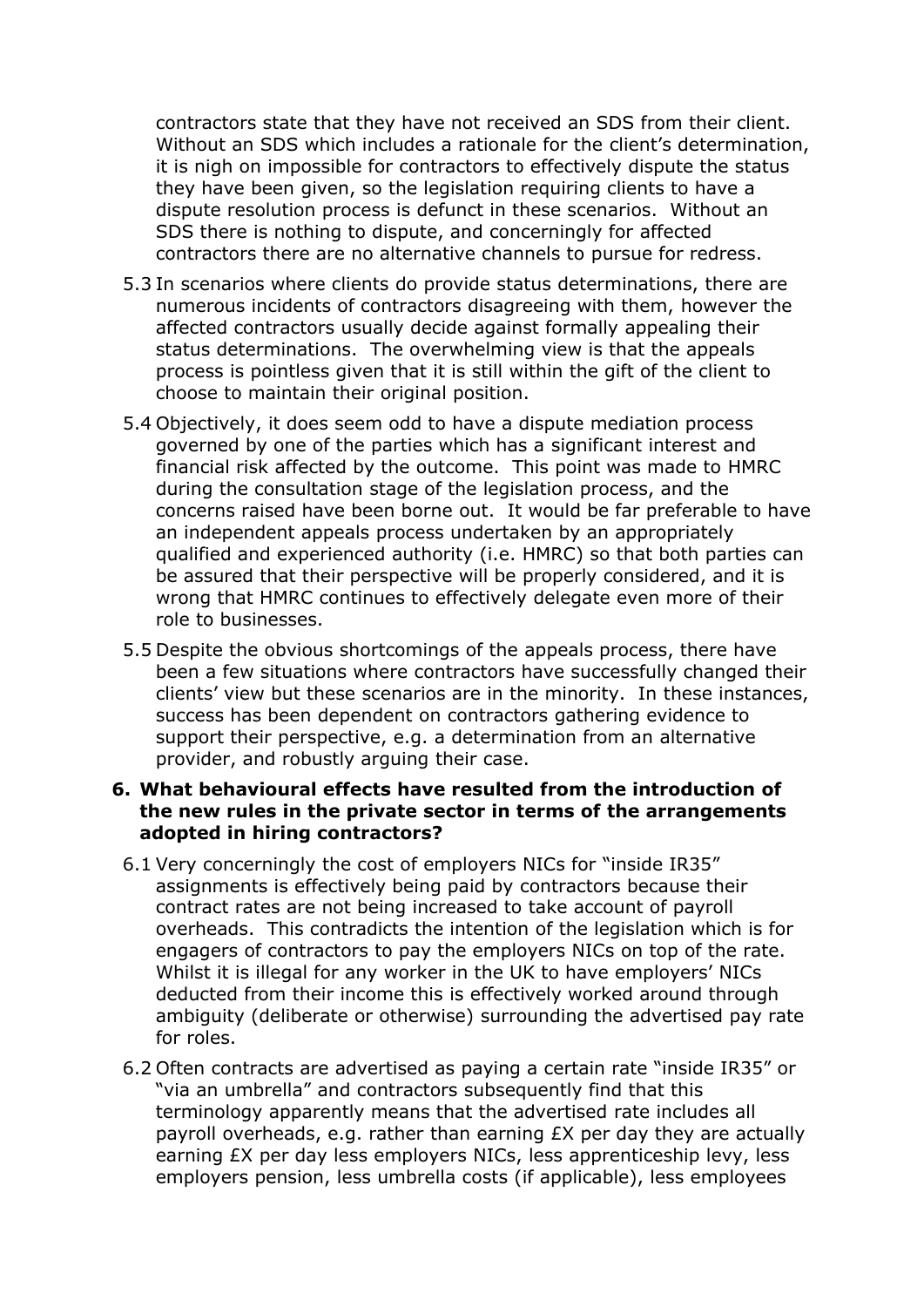contractors state that they have not received an SDS from their client. Without an SDS which includes a rationale for the client's determination, it is nigh on impossible for contractors to effectively dispute the status they have been given, so the legislation requiring clients to have a dispute resolution process is defunct in these scenarios. Without an SDS there is nothing to dispute, and concerningly for affected contractors there are no alternative channels to pursue for redress.

- 5.3 In scenarios where clients do provide status determinations, there are numerous incidents of contractors disagreeing with them, however the affected contractors usually decide against formally appealing their status determinations. The overwhelming view is that the appeals process is pointless given that it is still within the gift of the client to choose to maintain their original position.
- 5.4 Objectively, it does seem odd to have a dispute mediation process governed by one of the parties which has a significant interest and financial risk affected by the outcome. This point was made to HMRC during the consultation stage of the legislation process, and the concerns raised have been borne out. It would be far preferable to have an independent appeals process undertaken by an appropriately qualified and experienced authority (i.e. HMRC) so that both parties can be assured that their perspective will be properly considered, and it is wrong that HMRC continues to effectively delegate even more of their role to businesses.
- 5.5 Despite the obvious shortcomings of the appeals process, there have been a few situations where contractors have successfully changed their clients' view but these scenarios are in the minority. In these instances, success has been dependent on contractors gathering evidence to support their perspective, e.g. a determination from an alternative provider, and robustly arguing their case.

#### **6. What behavioural effects have resulted from the introduction of the new rules in the private sector in terms of the arrangements adopted in hiring contractors?**

- 6.1 Very concerningly the cost of employers NICs for "inside IR35" assignments is effectively being paid by contractors because their contract rates are not being increased to take account of payroll overheads. This contradicts the intention of the legislation which is for engagers of contractors to pay the employers NICs on top of the rate. Whilst it is illegal for any worker in the UK to have employers' NICs deducted from their income this is effectively worked around through ambiguity (deliberate or otherwise) surrounding the advertised pay rate for roles.
- 6.2 Often contracts are advertised as paying a certain rate "inside IR35" or "via an umbrella" and contractors subsequently find that this terminology apparently means that the advertised rate includes all payroll overheads, e.g. rather than earning £X per day they are actually earning £X per day less employers NICs, less apprenticeship levy, less employers pension, less umbrella costs (if applicable), less employees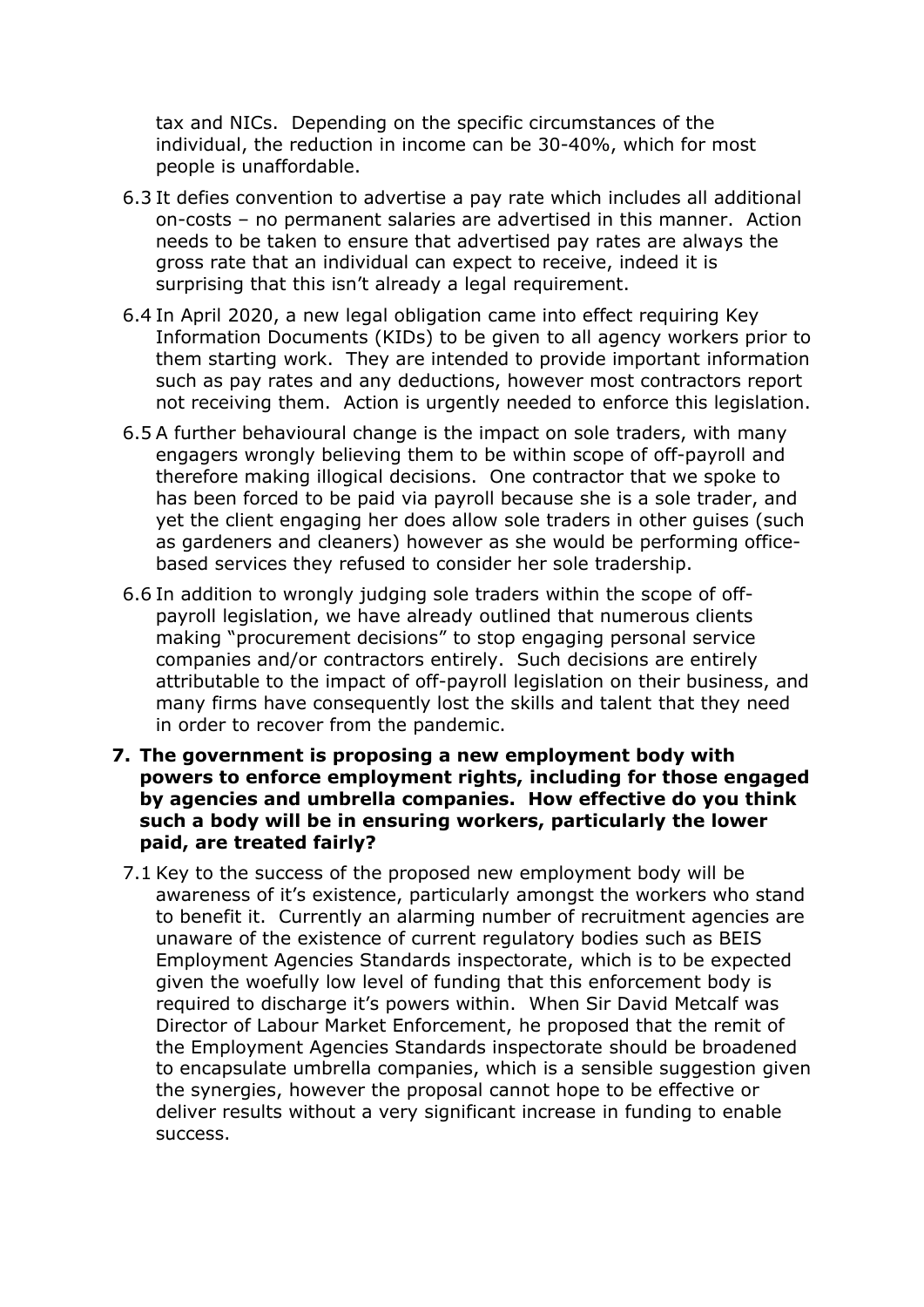tax and NICs. Depending on the specific circumstances of the individual, the reduction in income can be 30-40%, which for most people is unaffordable.

- 6.3 It defies convention to advertise a pay rate which includes all additional on-costs – no permanent salaries are advertised in this manner. Action needs to be taken to ensure that advertised pay rates are always the gross rate that an individual can expect to receive, indeed it is surprising that this isn't already a legal requirement.
- 6.4 In April 2020, a new legal obligation came into effect requiring Key Information Documents (KIDs) to be given to all agency workers prior to them starting work. They are intended to provide important information such as pay rates and any deductions, however most contractors report not receiving them. Action is urgently needed to enforce this legislation.
- 6.5 A further behavioural change is the impact on sole traders, with many engagers wrongly believing them to be within scope of off-payroll and therefore making illogical decisions. One contractor that we spoke to has been forced to be paid via payroll because she is a sole trader, and yet the client engaging her does allow sole traders in other guises (such as gardeners and cleaners) however as she would be performing officebased services they refused to consider her sole tradership.
- 6.6 In addition to wrongly judging sole traders within the scope of offpayroll legislation, we have already outlined that numerous clients making "procurement decisions" to stop engaging personal service companies and/or contractors entirely. Such decisions are entirely attributable to the impact of off-payroll legislation on their business, and many firms have consequently lost the skills and talent that they need in order to recover from the pandemic.
- **7. The government is proposing a new employment body with powers to enforce employment rights, including for those engaged by agencies and umbrella companies. How effective do you think such a body will be in ensuring workers, particularly the lower paid, are treated fairly?**
	- 7.1 Key to the success of the proposed new employment body will be awareness of it's existence, particularly amongst the workers who stand to benefit it. Currently an alarming number of recruitment agencies are unaware of the existence of current regulatory bodies such as BEIS Employment Agencies Standards inspectorate, which is to be expected given the woefully low level of funding that this enforcement body is required to discharge it's powers within. When Sir David Metcalf was Director of Labour Market Enforcement, he proposed that the remit of the Employment Agencies Standards inspectorate should be broadened to encapsulate umbrella companies, which is a sensible suggestion given the synergies, however the proposal cannot hope to be effective or deliver results without a very significant increase in funding to enable success.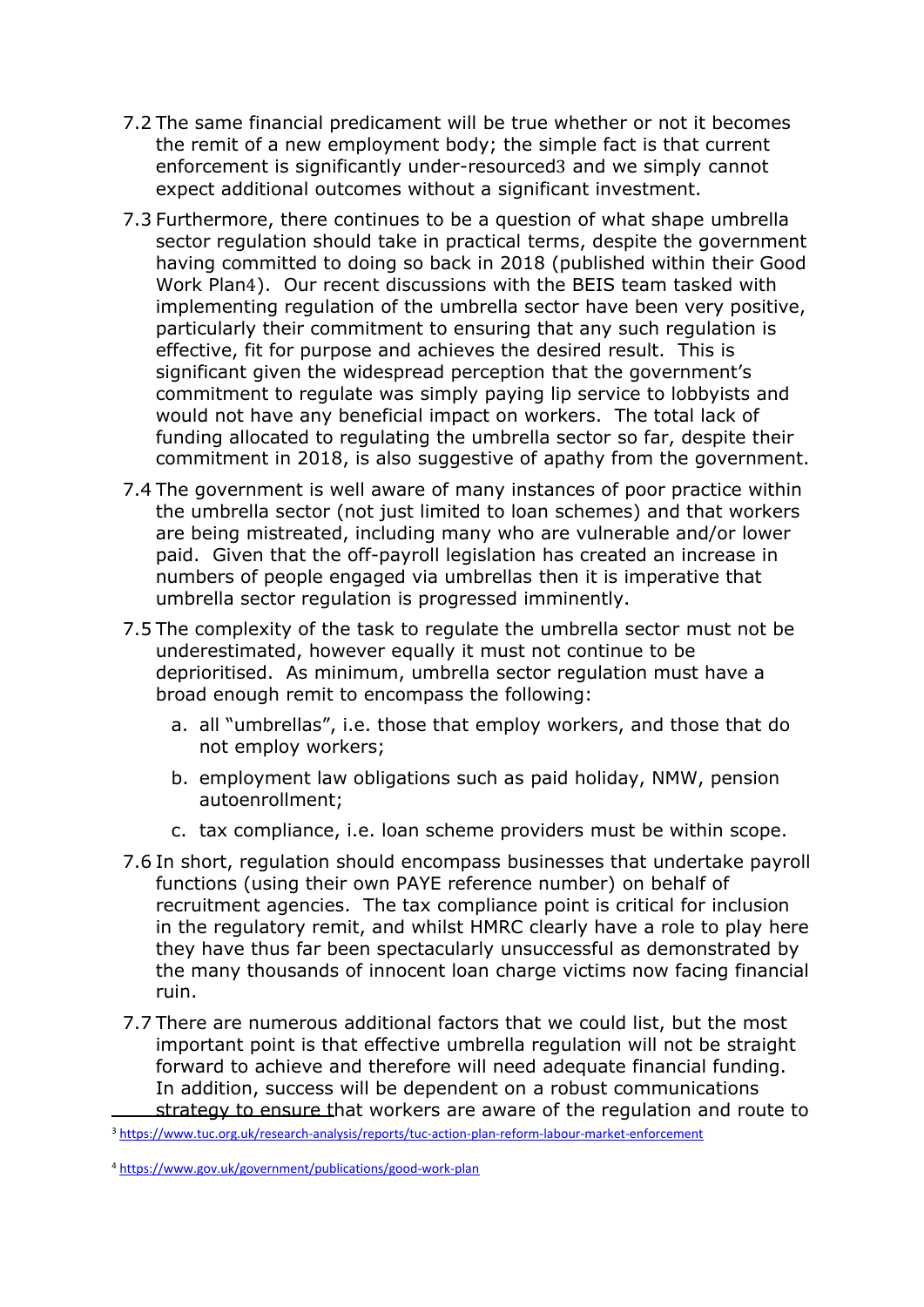- 7.2 The same financial predicament will be true whether or not it becomes the remit of a new employment body; the simple fact is that current enforcement is significantly under-resourced3 and we simply cannot expect additional outcomes without a significant investment.
- 7.3 Furthermore, there continues to be a question of what shape umbrella sector regulation should take in practical terms, despite the government having committed to doing so back in 2018 (published within their Good Work Plan4). Our recent discussions with the BEIS team tasked with implementing regulation of the umbrella sector have been very positive, particularly their commitment to ensuring that any such regulation is effective, fit for purpose and achieves the desired result. This is significant given the widespread perception that the government's commitment to regulate was simply paying lip service to lobbyists and would not have any beneficial impact on workers. The total lack of funding allocated to regulating the umbrella sector so far, despite their commitment in 2018, is also suggestive of apathy from the government.
- 7.4 The government is well aware of many instances of poor practice within the umbrella sector (not just limited to loan schemes) and that workers are being mistreated, including many who are vulnerable and/or lower paid. Given that the off-payroll legislation has created an increase in numbers of people engaged via umbrellas then it is imperative that umbrella sector regulation is progressed imminently.
- 7.5 The complexity of the task to regulate the umbrella sector must not be underestimated, however equally it must not continue to be deprioritised. As minimum, umbrella sector regulation must have a broad enough remit to encompass the following:
	- a. all "umbrellas", i.e. those that employ workers, and those that do not employ workers;
	- b. employment law obligations such as paid holiday, NMW, pension autoenrollment;
	- c. tax compliance, i.e. loan scheme providers must be within scope.
- 7.6 In short, regulation should encompass businesses that undertake payroll functions (using their own PAYE reference number) on behalf of recruitment agencies. The tax compliance point is critical for inclusion in the regulatory remit, and whilst HMRC clearly have a role to play here they have thus far been spectacularly unsuccessful as demonstrated by the many thousands of innocent loan charge victims now facing financial ruin.
- 7.7 There are numerous additional factors that we could list, but the most important point is that effective umbrella regulation will not be straight forward to achieve and therefore will need adequate financial funding. In addition, success will be dependent on a robust communications strategy to ensure that workers are aware of the regulation and route to

<sup>3</sup> <https://www.tuc.org.uk/research-analysis/reports/tuc-action-plan-reform-labour-market-enforcement>

<sup>4</sup> <https://www.gov.uk/government/publications/good-work-plan>